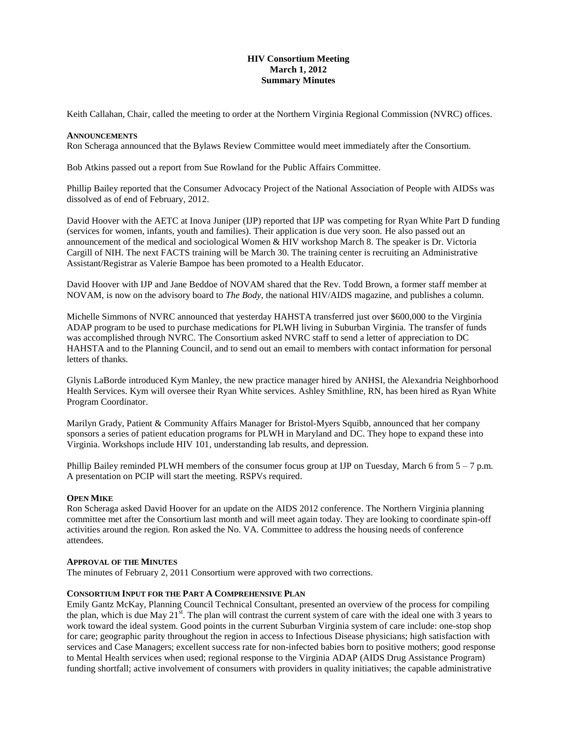## **HIV Consortium Meeting March 1, 2012 Summary Minutes**

Keith Callahan, Chair, called the meeting to order at the Northern Virginia Regional Commission (NVRC) offices.

#### **ANNOUNCEMENTS**

Ron Scheraga announced that the Bylaws Review Committee would meet immediately after the Consortium.

Bob Atkins passed out a report from Sue Rowland for the Public Affairs Committee.

Phillip Bailey reported that the Consumer Advocacy Project of the National Association of People with AIDSs was dissolved as of end of February, 2012.

David Hoover with the AETC at Inova Juniper (IJP) reported that IJP was competing for Ryan White Part D funding (services for women, infants, youth and families). Their application is due very soon. He also passed out an announcement of the medical and sociological Women & HIV workshop March 8. The speaker is Dr. Victoria Cargill of NIH. The next FACTS training will be March 30. The training center is recruiting an Administrative Assistant/Registrar as Valerie Bampoe has been promoted to a Health Educator.

David Hoover with IJP and Jane Beddoe of NOVAM shared that the Rev. Todd Brown, a former staff member at NOVAM, is now on the advisory board to *The Body*, the national HIV/AIDS magazine, and publishes a column.

Michelle Simmons of NVRC announced that yesterday HAHSTA transferred just over \$600,000 to the Virginia ADAP program to be used to purchase medications for PLWH living in Suburban Virginia. The transfer of funds was accomplished through NVRC. The Consortium asked NVRC staff to send a letter of appreciation to DC HAHSTA and to the Planning Council, and to send out an email to members with contact information for personal letters of thanks.

Glynis LaBorde introduced Kym Manley, the new practice manager hired by ANHSI, the Alexandria Neighborhood Health Services. Kym will oversee their Ryan White services. Ashley Smithline, RN, has been hired as Ryan White Program Coordinator.

Marilyn Grady, Patient & Community Affairs Manager for Bristol-Myers Squibb, announced that her company sponsors a series of patient education programs for PLWH in Maryland and DC. They hope to expand these into Virginia. Workshops include HIV 101, understanding lab results, and depression.

Phillip Bailey reminded PLWH members of the consumer focus group at IJP on Tuesday, March 6 from 5 – 7 p.m. A presentation on PCIP will start the meeting. RSPVs required.

## **OPEN MIKE**

Ron Scheraga asked David Hoover for an update on the AIDS 2012 conference. The Northern Virginia planning committee met after the Consortium last month and will meet again today. They are looking to coordinate spin-off activities around the region. Ron asked the No. VA. Committee to address the housing needs of conference attendees.

#### **APPROVAL OF THE MINUTES**

The minutes of February 2, 2011 Consortium were approved with two corrections.

#### **CONSORTIUM INPUT FOR THE PART A COMPREHENSIVE PLAN**

Emily Gantz McKay, Planning Council Technical Consultant, presented an overview of the process for compiling the plan, which is due May  $21^{st}$ . The plan will contrast the current system of care with the ideal one with 3 years to work toward the ideal system. Good points in the current Suburban Virginia system of care include: one-stop shop for care; geographic parity throughout the region in access to Infectious Disease physicians; high satisfaction with services and Case Managers; excellent success rate for non-infected babies born to positive mothers; good response to Mental Health services when used; regional response to the Virginia ADAP (AIDS Drug Assistance Program) funding shortfall; active involvement of consumers with providers in quality initiatives; the capable administrative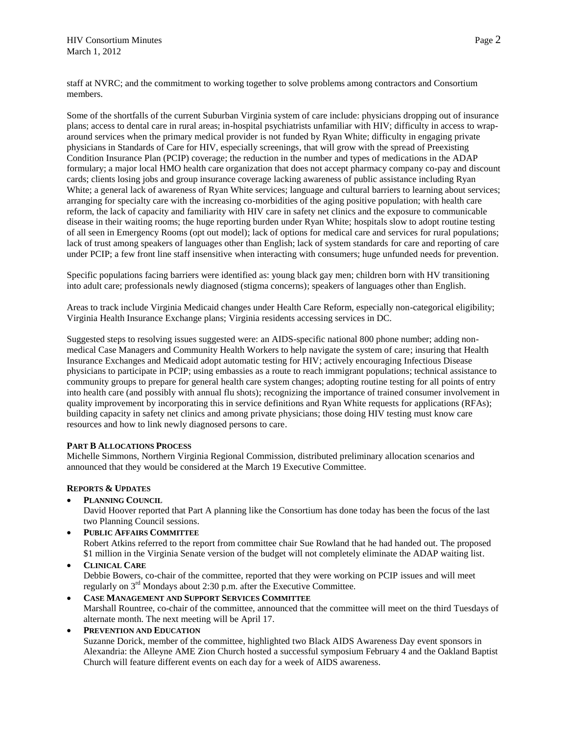staff at NVRC; and the commitment to working together to solve problems among contractors and Consortium members.

Some of the shortfalls of the current Suburban Virginia system of care include: physicians dropping out of insurance plans; access to dental care in rural areas; in-hospital psychiatrists unfamiliar with HIV; difficulty in access to wraparound services when the primary medical provider is not funded by Ryan White; difficulty in engaging private physicians in Standards of Care for HIV, especially screenings, that will grow with the spread of Preexisting Condition Insurance Plan (PCIP) coverage; the reduction in the number and types of medications in the ADAP formulary; a major local HMO health care organization that does not accept pharmacy company co-pay and discount cards; clients losing jobs and group insurance coverage lacking awareness of public assistance including Ryan White; a general lack of awareness of Ryan White services; language and cultural barriers to learning about services; arranging for specialty care with the increasing co-morbidities of the aging positive population; with health care reform, the lack of capacity and familiarity with HIV care in safety net clinics and the exposure to communicable disease in their waiting rooms; the huge reporting burden under Ryan White; hospitals slow to adopt routine testing of all seen in Emergency Rooms (opt out model); lack of options for medical care and services for rural populations; lack of trust among speakers of languages other than English; lack of system standards for care and reporting of care under PCIP; a few front line staff insensitive when interacting with consumers; huge unfunded needs for prevention.

Specific populations facing barriers were identified as: young black gay men; children born with HV transitioning into adult care; professionals newly diagnosed (stigma concerns); speakers of languages other than English.

Areas to track include Virginia Medicaid changes under Health Care Reform, especially non-categorical eligibility; Virginia Health Insurance Exchange plans; Virginia residents accessing services in DC.

Suggested steps to resolving issues suggested were: an AIDS-specific national 800 phone number; adding nonmedical Case Managers and Community Health Workers to help navigate the system of care; insuring that Health Insurance Exchanges and Medicaid adopt automatic testing for HIV; actively encouraging Infectious Disease physicians to participate in PCIP; using embassies as a route to reach immigrant populations; technical assistance to community groups to prepare for general health care system changes; adopting routine testing for all points of entry into health care (and possibly with annual flu shots); recognizing the importance of trained consumer involvement in quality improvement by incorporating this in service definitions and Ryan White requests for applications (RFAs); building capacity in safety net clinics and among private physicians; those doing HIV testing must know care resources and how to link newly diagnosed persons to care.

## **PART B ALLOCATIONS PROCESS**

Michelle Simmons, Northern Virginia Regional Commission, distributed preliminary allocation scenarios and announced that they would be considered at the March 19 Executive Committee.

## **REPORTS & UPDATES**

**PLANNING COUNCIL**

David Hoover reported that Part A planning like the Consortium has done today has been the focus of the last two Planning Council sessions.

- **PUBLIC AFFAIRS COMMITTEE** Robert Atkins referred to the report from committee chair Sue Rowland that he had handed out. The proposed \$1 million in the Virginia Senate version of the budget will not completely eliminate the ADAP waiting list.
- **CLINICAL CARE** Debbie Bowers, co-chair of the committee, reported that they were working on PCIP issues and will meet regularly on 3rd Mondays about 2:30 p.m. after the Executive Committee.
- **CASE MANAGEMENT AND SUPPORT SERVICES COMMITTEE** Marshall Rountree, co-chair of the committee, announced that the committee will meet on the third Tuesdays of alternate month. The next meeting will be April 17.
- **PREVENTION AND EDUCATION**

Suzanne Dorick, member of the committee, highlighted two Black AIDS Awareness Day event sponsors in Alexandria: the Alleyne AME Zion Church hosted a successful symposium February 4 and the Oakland Baptist Church will feature different events on each day for a week of AIDS awareness.